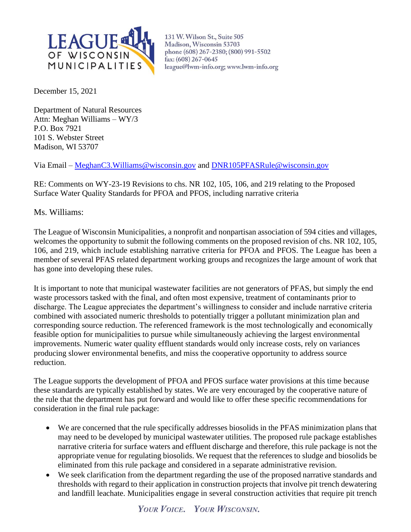

131 W. Wilson St., Suite 505 Madison, Wisconsin 53703 phone (608) 267-2380; (800) 991-5502 fax: (608) 267-0645 league@lwm-info.org; www.lwm-info.org

December 15, 2021

Department of Natural Resources Attn: Meghan Williams – WY/3 P.O. Box 7921 101 S. Webster Street Madison, WI 53707

Via Email – [MeghanC3.Williams@wisconsin.gov](mailto:MeghanC3.Williams@wisconsin.gov) and [DNR105PFASRule@wisconsin.gov](mailto:DNR105PFASRule@wisconsin.gov)

RE: Comments on WY-23-19 Revisions to chs. NR 102, 105, 106, and 219 relating to the Proposed Surface Water Quality Standards for PFOA and PFOS, including narrative criteria

Ms. Williams:

The League of Wisconsin Municipalities, a nonprofit and nonpartisan association of 594 cities and villages, welcomes the opportunity to submit the following comments on the proposed revision of chs. NR 102, 105, 106, and 219, which include establishing narrative criteria for PFOA and PFOS. The League has been a member of several PFAS related department working groups and recognizes the large amount of work that has gone into developing these rules.

It is important to note that municipal wastewater facilities are not generators of PFAS, but simply the end waste processors tasked with the final, and often most expensive, treatment of contaminants prior to discharge. The League appreciates the department's willingness to consider and include narrative criteria combined with associated numeric thresholds to potentially trigger a pollutant minimization plan and corresponding source reduction. The referenced framework is the most technologically and economically feasible option for municipalities to pursue while simultaneously achieving the largest environmental improvements. Numeric water quality effluent standards would only increase costs, rely on variances producing slower environmental benefits, and miss the cooperative opportunity to address source reduction.

The League supports the development of PFOA and PFOS surface water provisions at this time because these standards are typically established by states. We are very encouraged by the cooperative nature of the rule that the department has put forward and would like to offer these specific recommendations for consideration in the final rule package:

- We are concerned that the rule specifically addresses biosolids in the PFAS minimization plans that may need to be developed by municipal wastewater utilities. The proposed rule package establishes narrative criteria for surface waters and effluent discharge and therefore, this rule package is not the appropriate venue for regulating biosolids. We request that the references to sludge and biosolids be eliminated from this rule package and considered in a separate administrative revision.
- We seek clarification from the department regarding the use of the proposed narrative standards and thresholds with regard to their application in construction projects that involve pit trench dewatering and landfill leachate. Municipalities engage in several construction activities that require pit trench

YOUR VOICE. YOUR WISCONSIN.